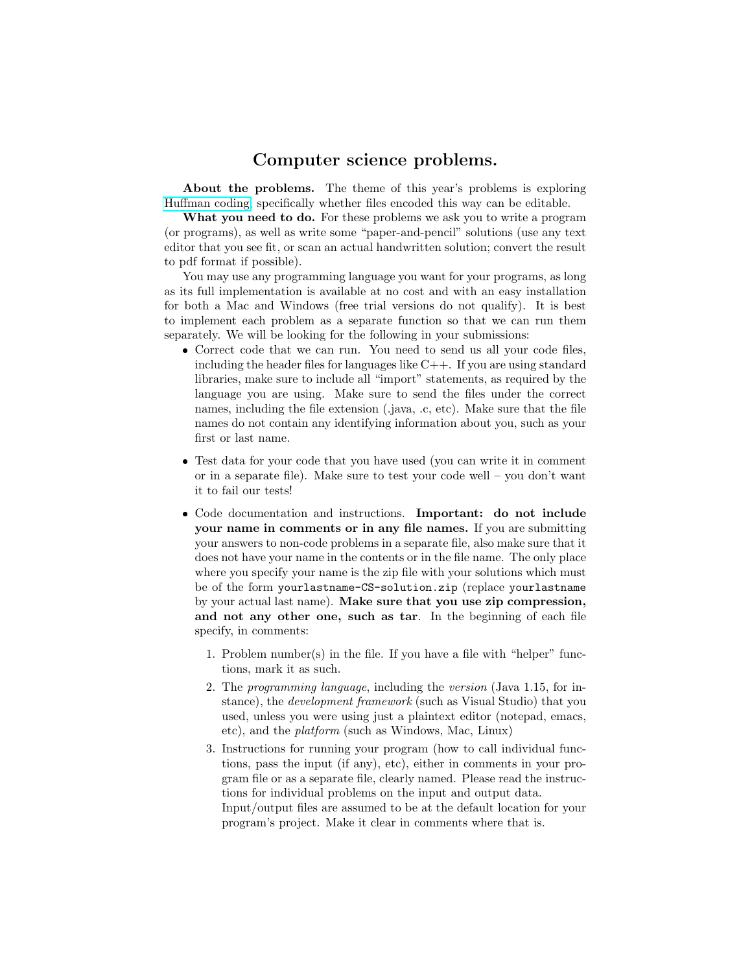## Computer science problems.

About the problems. The theme of this year's problems is exploring [Huffman coding,](http://en.wikipedia.org/wiki/Huffman_coding) specifically whether files encoded this way can be editable.

What you need to do. For these problems we ask you to write a program (or programs), as well as write some "paper-and-pencil" solutions (use any text editor that you see fit, or scan an actual handwritten solution; convert the result to pdf format if possible).

You may use any programming language you want for your programs, as long as its full implementation is available at no cost and with an easy installation for both a Mac and Windows (free trial versions do not qualify). It is best to implement each problem as a separate function so that we can run them separately. We will be looking for the following in your submissions:

- Correct code that we can run. You need to send us all your code files, including the header files for languages like  $C++$ . If you are using standard libraries, make sure to include all "import" statements, as required by the language you are using. Make sure to send the files under the correct names, including the file extension (.java, .c, etc). Make sure that the file names do not contain any identifying information about you, such as your first or last name.
- Test data for your code that you have used (you can write it in comment or in a separate file). Make sure to test your code well – you don't want it to fail our tests!
- Code documentation and instructions. Important: do not include your name in comments or in any file names. If you are submitting your answers to non-code problems in a separate file, also make sure that it does not have your name in the contents or in the file name. The only place where you specify your name is the zip file with your solutions which must be of the form yourlastname-CS-solution.zip (replace yourlastname by your actual last name). Make sure that you use zip compression, and not any other one, such as tar. In the beginning of each file specify, in comments:
	- 1. Problem number(s) in the file. If you have a file with "helper" functions, mark it as such.
	- 2. The programming language, including the version (Java 1.15, for instance), the development framework (such as Visual Studio) that you used, unless you were using just a plaintext editor (notepad, emacs, etc), and the platform (such as Windows, Mac, Linux)
	- 3. Instructions for running your program (how to call individual functions, pass the input (if any), etc), either in comments in your program file or as a separate file, clearly named. Please read the instructions for individual problems on the input and output data. Input/output files are assumed to be at the default location for your program's project. Make it clear in comments where that is.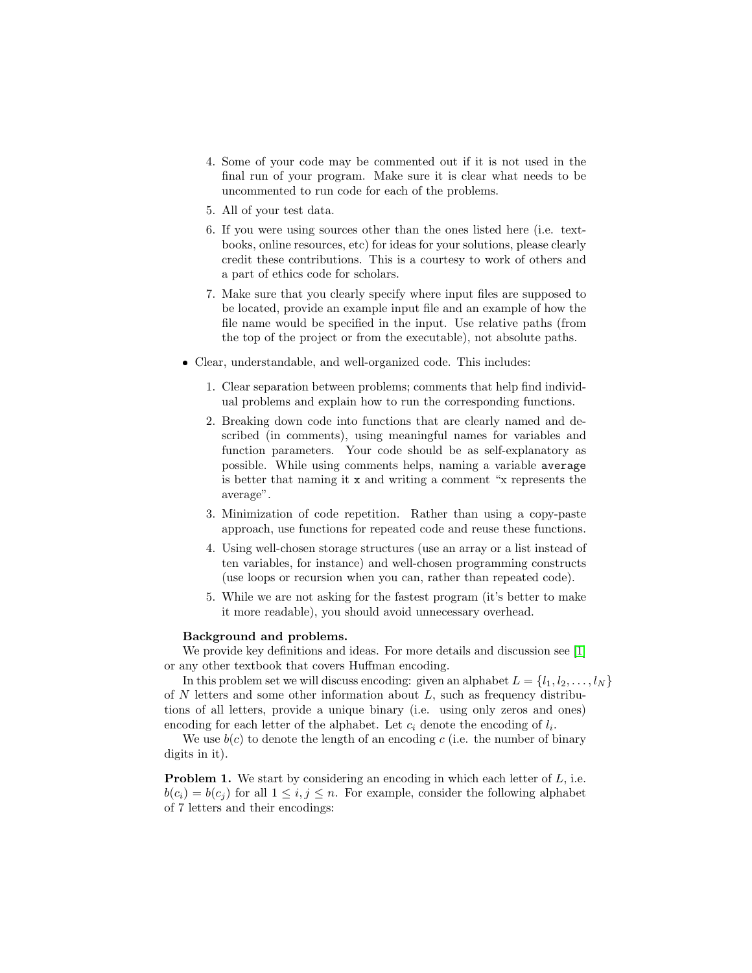- 4. Some of your code may be commented out if it is not used in the final run of your program. Make sure it is clear what needs to be uncommented to run code for each of the problems.
- 5. All of your test data.
- 6. If you were using sources other than the ones listed here (i.e. textbooks, online resources, etc) for ideas for your solutions, please clearly credit these contributions. This is a courtesy to work of others and a part of ethics code for scholars.
- 7. Make sure that you clearly specify where input files are supposed to be located, provide an example input file and an example of how the file name would be specified in the input. Use relative paths (from the top of the project or from the executable), not absolute paths.
- Clear, understandable, and well-organized code. This includes:
	- 1. Clear separation between problems; comments that help find individual problems and explain how to run the corresponding functions.
	- 2. Breaking down code into functions that are clearly named and described (in comments), using meaningful names for variables and function parameters. Your code should be as self-explanatory as possible. While using comments helps, naming a variable average is better that naming it x and writing a comment "x represents the average".
	- 3. Minimization of code repetition. Rather than using a copy-paste approach, use functions for repeated code and reuse these functions.
	- 4. Using well-chosen storage structures (use an array or a list instead of ten variables, for instance) and well-chosen programming constructs (use loops or recursion when you can, rather than repeated code).
	- 5. While we are not asking for the fastest program (it's better to make it more readable), you should avoid unnecessary overhead.

## Background and problems.

We provide key definitions and ideas. For more details and discussion see [\[1\]](#page-9-0) or any other textbook that covers Huffman encoding.

In this problem set we will discuss encoding: given an alphabet  $L = \{l_1, l_2, \ldots, l_N\}$ of  $N$  letters and some other information about  $L$ , such as frequency distributions of all letters, provide a unique binary (i.e. using only zeros and ones) encoding for each letter of the alphabet. Let  $c_i$  denote the encoding of  $l_i$ .

We use  $b(c)$  to denote the length of an encoding c (i.e. the number of binary digits in it).

<span id="page-1-0"></span>**Problem 1.** We start by considering an encoding in which each letter of  $L$ , i.e.  $b(c_i) = b(c_j)$  for all  $1 \leq i, j \leq n$ . For example, consider the following alphabet of 7 letters and their encodings: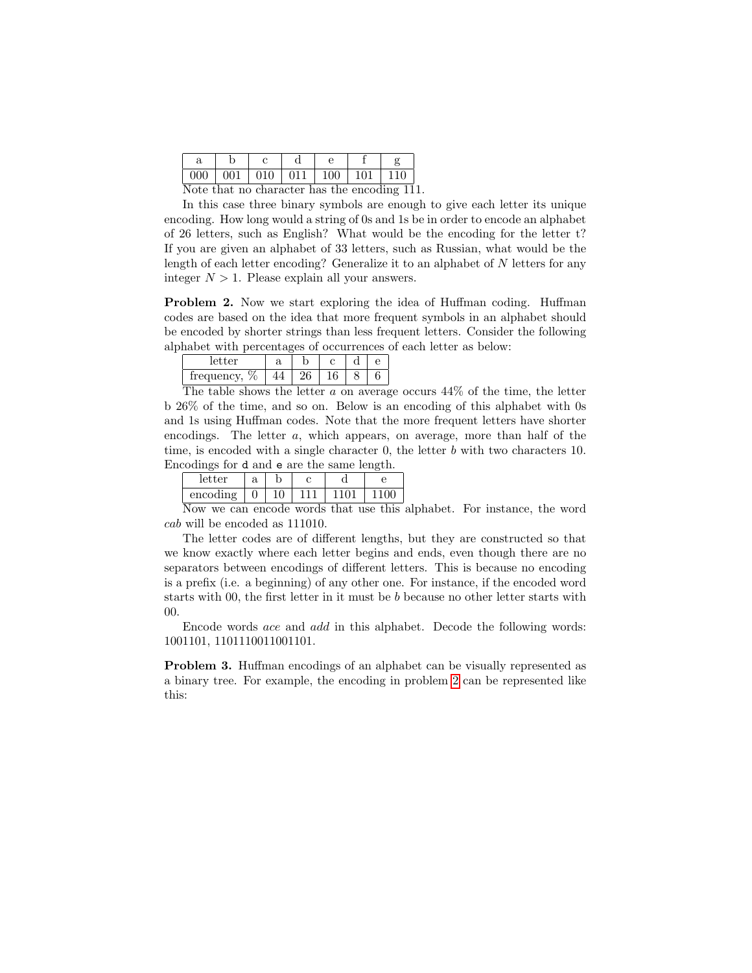|    | a           | ∼ |               |            |              |      |
|----|-------------|---|---------------|------------|--------------|------|
|    | н<br>н<br>ັ | ັ | ◡<br><b>.</b> | ו וו<br>◡◡ | $\checkmark$ |      |
| ъ, |             |   |               |            |              | $-1$ |

Note that no character has the encoding 111.

In this case three binary symbols are enough to give each letter its unique encoding. How long would a string of 0s and 1s be in order to encode an alphabet of 26 letters, such as English? What would be the encoding for the letter t? If you are given an alphabet of 33 letters, such as Russian, what would be the length of each letter encoding? Generalize it to an alphabet of  $N$  letters for any integer  $N > 1$ . Please explain all your answers.

<span id="page-2-0"></span>Problem 2. Now we start exploring the idea of Huffman coding. Huffman codes are based on the idea that more frequent symbols in an alphabet should be encoded by shorter strings than less frequent letters. Consider the following alphabet with percentages of occurrences of each letter as below:

| $\sim$<br>v                                 |                   |    |  |  |
|---------------------------------------------|-------------------|----|--|--|
| 07,<br>meduenc <sub>'</sub><br>$\mathbf{C}$ |                   |    |  |  |
| --<br><b>CONTRACTOR</b>                     | <b>CONTRACTOR</b> | -- |  |  |

The table shows the letter  $a$  on average occurs  $44\%$  of the time, the letter b 26% of the time, and so on. Below is an encoding of this alphabet with 0s and 1s using Huffman codes. Note that the more frequent letters have shorter encodings. The letter a, which appears, on average, more than half of the time, is encoded with a single character 0, the letter b with two characters 10. Encodings for d and e are the same length.

| vvinnago lvi e tulte o tulv tilo ptulit lvingtil |   |  |  |  |  |  |  |
|--------------------------------------------------|---|--|--|--|--|--|--|
| letter                                           | а |  |  |  |  |  |  |
| encoding                                         |   |  |  |  |  |  |  |

Now we can encode words that use this alphabet. For instance, the word cab will be encoded as 111010.

The letter codes are of different lengths, but they are constructed so that we know exactly where each letter begins and ends, even though there are no separators between encodings of different letters. This is because no encoding is a prefix (i.e. a beginning) of any other one. For instance, if the encoded word starts with 00, the first letter in it must be b because no other letter starts with 00.

Encode words ace and add in this alphabet. Decode the following words: 1001101, 1101110011001101.

<span id="page-2-1"></span>Problem 3. Huffman encodings of an alphabet can be visually represented as a binary tree. For example, the encoding in problem [2](#page-2-0) can be represented like this: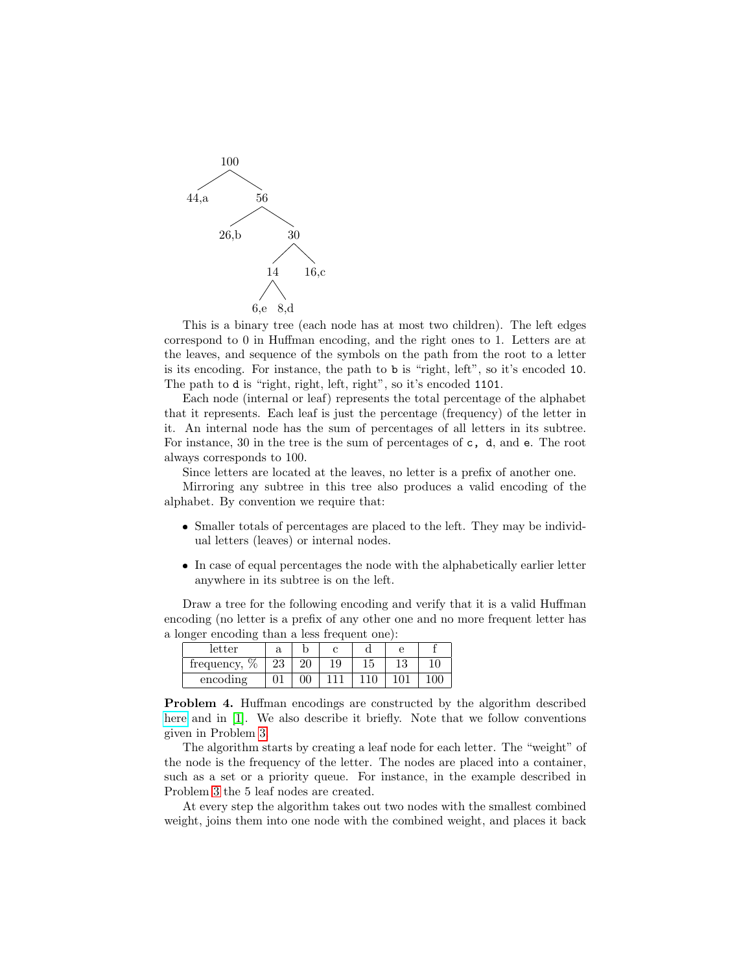

This is a binary tree (each node has at most two children). The left edges correspond to 0 in Huffman encoding, and the right ones to 1. Letters are at the leaves, and sequence of the symbols on the path from the root to a letter is its encoding. For instance, the path to b is "right, left", so it's encoded 10. The path to d is "right, right, left, right", so it's encoded 1101.

Each node (internal or leaf) represents the total percentage of the alphabet that it represents. Each leaf is just the percentage (frequency) of the letter in it. An internal node has the sum of percentages of all letters in its subtree. For instance, 30 in the tree is the sum of percentages of c, d, and e. The root always corresponds to 100.

Since letters are located at the leaves, no letter is a prefix of another one.

Mirroring any subtree in this tree also produces a valid encoding of the alphabet. By convention we require that:

- Smaller totals of percentages are placed to the left. They may be individual letters (leaves) or internal nodes.
- In case of equal percentages the node with the alphabetically earlier letter anywhere in its subtree is on the left.

Draw a tree for the following encoding and verify that it is a valid Huffman encoding (no letter is a prefix of any other one and no more frequent letter has a longer encoding than a less frequent one):

| -<br>-     |    |    |    |    |    |    |
|------------|----|----|----|----|----|----|
| letter     | ω  |    |    |    |    |    |
| frequency, | ∠⊍ | ാറ | 10 | 19 | 19 | 10 |
| encoding   |    |    |    |    |    |    |

<span id="page-3-0"></span>Problem 4. Huffman encodings are constructed by the algorithm described [here](https://en.wikipedia.org/wiki/Huffman_coding#Compression) and in [\[1\]](#page-9-0). We also describe it briefly. Note that we follow conventions given in Problem [3.](#page-2-1)

The algorithm starts by creating a leaf node for each letter. The "weight" of the node is the frequency of the letter. The nodes are placed into a container, such as a set or a priority queue. For instance, in the example described in Problem [3](#page-2-1) the 5 leaf nodes are created.

At every step the algorithm takes out two nodes with the smallest combined weight, joins them into one node with the combined weight, and places it back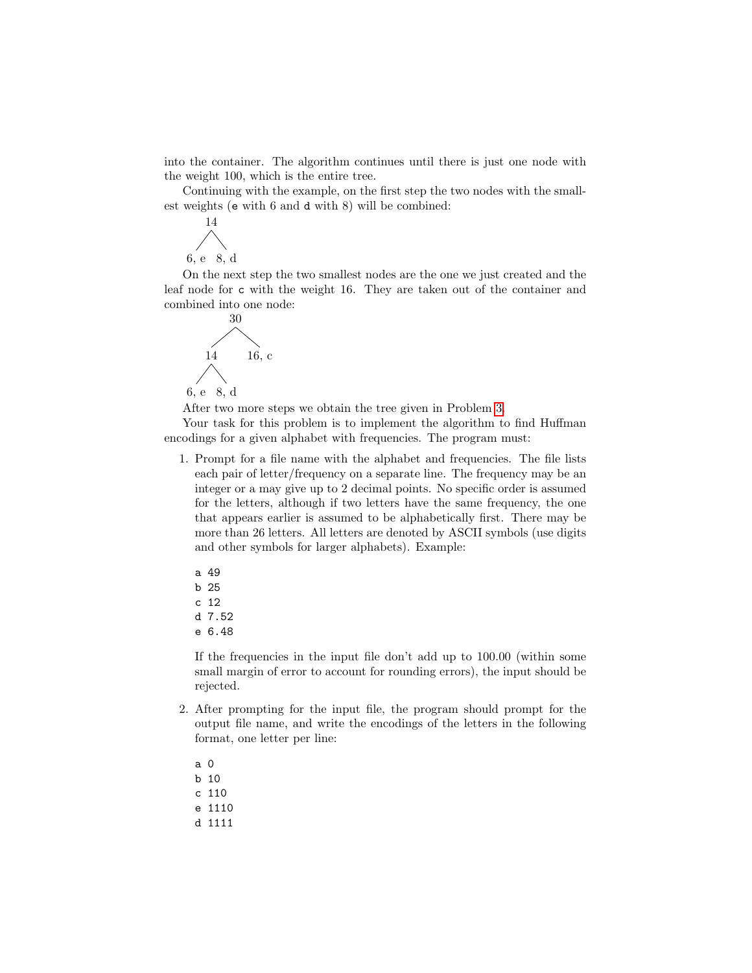into the container. The algorithm continues until there is just one node with the weight 100, which is the entire tree.

Continuing with the example, on the first step the two nodes with the smallest weights (e with 6 and d with 8) will be combined:



On the next step the two smallest nodes are the one we just created and the leaf node for c with the weight 16. They are taken out of the container and combined into one node:



After two more steps we obtain the tree given in Problem [3.](#page-2-1)

Your task for this problem is to implement the algorithm to find Huffman encodings for a given alphabet with frequencies. The program must:

- 1. Prompt for a file name with the alphabet and frequencies. The file lists each pair of letter/frequency on a separate line. The frequency may be an integer or a may give up to 2 decimal points. No specific order is assumed for the letters, although if two letters have the same frequency, the one that appears earlier is assumed to be alphabetically first. There may be more than 26 letters. All letters are denoted by ASCII symbols (use digits and other symbols for larger alphabets). Example:
	- a 49 b 25 c 12 d 7.52 e 6.48

If the frequencies in the input file don't add up to 100.00 (within some small margin of error to account for rounding errors), the input should be rejected.

- 2. After prompting for the input file, the program should prompt for the output file name, and write the encodings of the letters in the following format, one letter per line:
	- a 0 b 10 c 110 e 1110 d 1111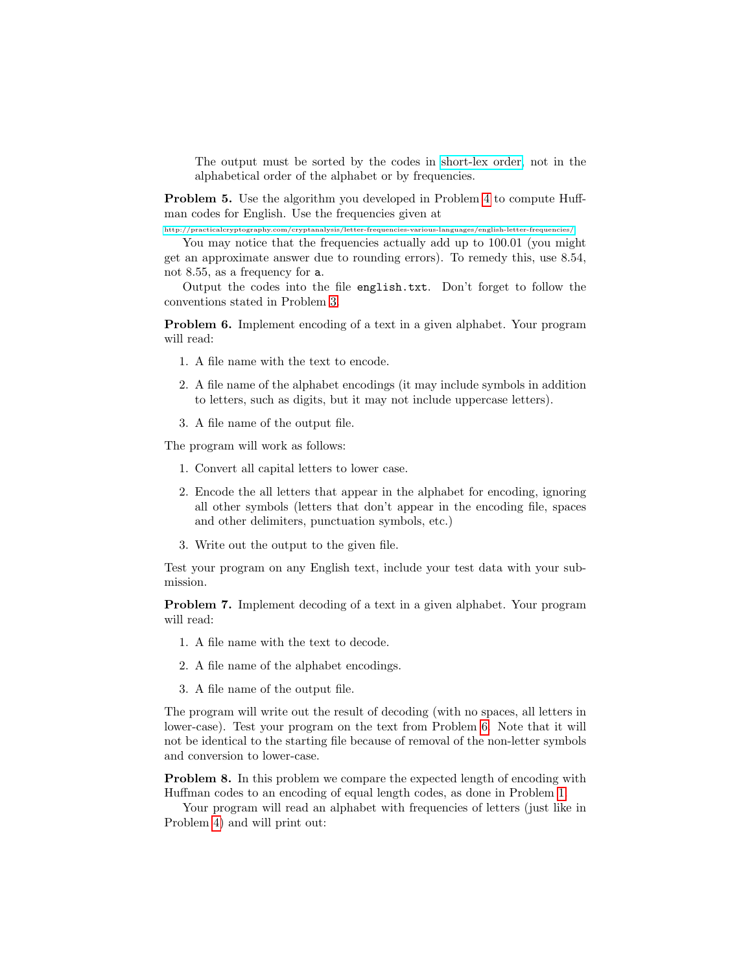The output must be sorted by the codes in [short-lex order,]("https://en.wikipedia.org/wiki/Shortlex_order") not in the alphabetical order of the alphabet or by frequencies.

<span id="page-5-1"></span>Problem 5. Use the algorithm you developed in Problem [4](#page-3-0) to compute Huffman codes for English. Use the frequencies given at

<http://practicalcryptography.com/cryptanalysis/letter-frequencies-various-languages/english-letter-frequencies/>

You may notice that the frequencies actually add up to 100.01 (you might get an approximate answer due to rounding errors). To remedy this, use 8.54, not 8.55, as a frequency for a.

Output the codes into the file english.txt. Don't forget to follow the conventions stated in Problem [3.](#page-2-1)

<span id="page-5-0"></span>Problem 6. Implement encoding of a text in a given alphabet. Your program will read:

- 1. A file name with the text to encode.
- 2. A file name of the alphabet encodings (it may include symbols in addition to letters, such as digits, but it may not include uppercase letters).
- 3. A file name of the output file.

The program will work as follows:

- 1. Convert all capital letters to lower case.
- 2. Encode the all letters that appear in the alphabet for encoding, ignoring all other symbols (letters that don't appear in the encoding file, spaces and other delimiters, punctuation symbols, etc.)
- 3. Write out the output to the given file.

Test your program on any English text, include your test data with your submission.

Problem 7. Implement decoding of a text in a given alphabet. Your program will read:

- 1. A file name with the text to decode.
- 2. A file name of the alphabet encodings.
- 3. A file name of the output file.

The program will write out the result of decoding (with no spaces, all letters in lower-case). Test your program on the text from Problem [6.](#page-5-0) Note that it will not be identical to the starting file because of removal of the non-letter symbols and conversion to lower-case.

Problem 8. In this problem we compare the expected length of encoding with Huffman codes to an encoding of equal length codes, as done in Problem [1.](#page-1-0)

Your program will read an alphabet with frequencies of letters (just like in Problem [4\)](#page-3-0) and will print out: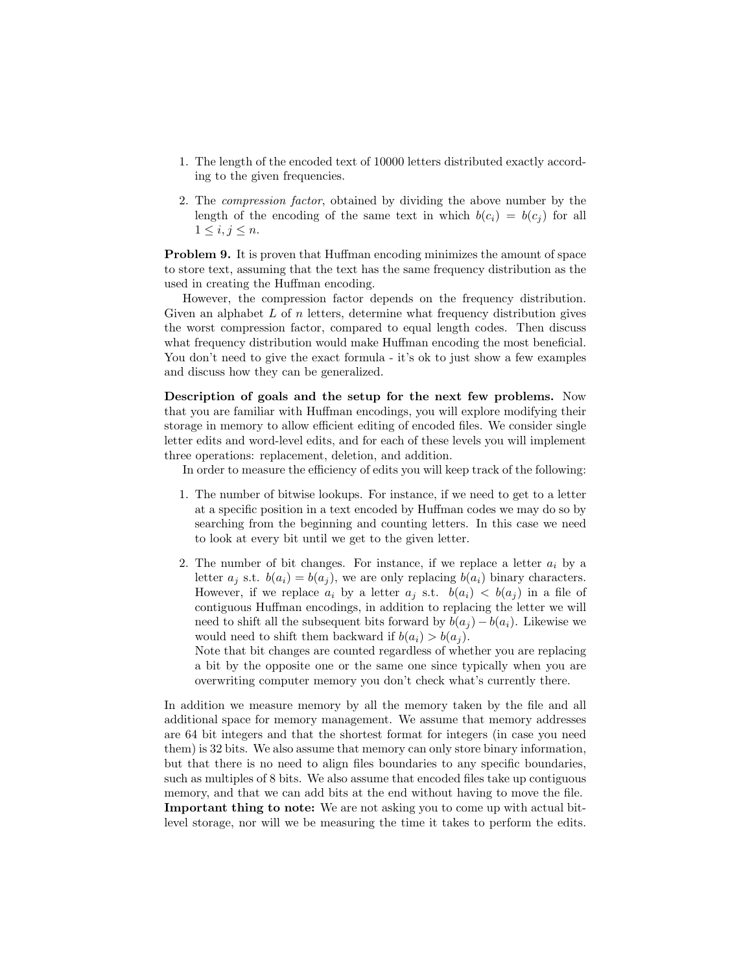- 1. The length of the encoded text of 10000 letters distributed exactly according to the given frequencies.
- 2. The compression factor, obtained by dividing the above number by the length of the encoding of the same text in which  $b(c_i) = b(c_i)$  for all  $1 \leq i, j \leq n$ .

Problem 9. It is proven that Huffman encoding minimizes the amount of space to store text, assuming that the text has the same frequency distribution as the used in creating the Huffman encoding.

However, the compression factor depends on the frequency distribution. Given an alphabet  $L$  of n letters, determine what frequency distribution gives the worst compression factor, compared to equal length codes. Then discuss what frequency distribution would make Huffman encoding the most beneficial. You don't need to give the exact formula - it's ok to just show a few examples and discuss how they can be generalized.

Description of goals and the setup for the next few problems. Now that you are familiar with Huffman encodings, you will explore modifying their storage in memory to allow efficient editing of encoded files. We consider single letter edits and word-level edits, and for each of these levels you will implement three operations: replacement, deletion, and addition.

In order to measure the efficiency of edits you will keep track of the following:

- 1. The number of bitwise lookups. For instance, if we need to get to a letter at a specific position in a text encoded by Huffman codes we may do so by searching from the beginning and counting letters. In this case we need to look at every bit until we get to the given letter.
- 2. The number of bit changes. For instance, if we replace a letter  $a_i$  by a letter  $a_i$  s.t.  $b(a_i) = b(a_i)$ , we are only replacing  $b(a_i)$  binary characters. However, if we replace  $a_i$  by a letter  $a_i$  s.t.  $b(a_i) < b(a_i)$  in a file of contiguous Huffman encodings, in addition to replacing the letter we will need to shift all the subsequent bits forward by  $b(a_i) - b(a_i)$ . Likewise we would need to shift them backward if  $b(a_i) > b(a_i)$ .

Note that bit changes are counted regardless of whether you are replacing a bit by the opposite one or the same one since typically when you are overwriting computer memory you don't check what's currently there.

In addition we measure memory by all the memory taken by the file and all additional space for memory management. We assume that memory addresses are 64 bit integers and that the shortest format for integers (in case you need them) is 32 bits. We also assume that memory can only store binary information, but that there is no need to align files boundaries to any specific boundaries, such as multiples of 8 bits. We also assume that encoded files take up contiguous memory, and that we can add bits at the end without having to move the file. Important thing to note: We are not asking you to come up with actual bitlevel storage, nor will we be measuring the time it takes to perform the edits.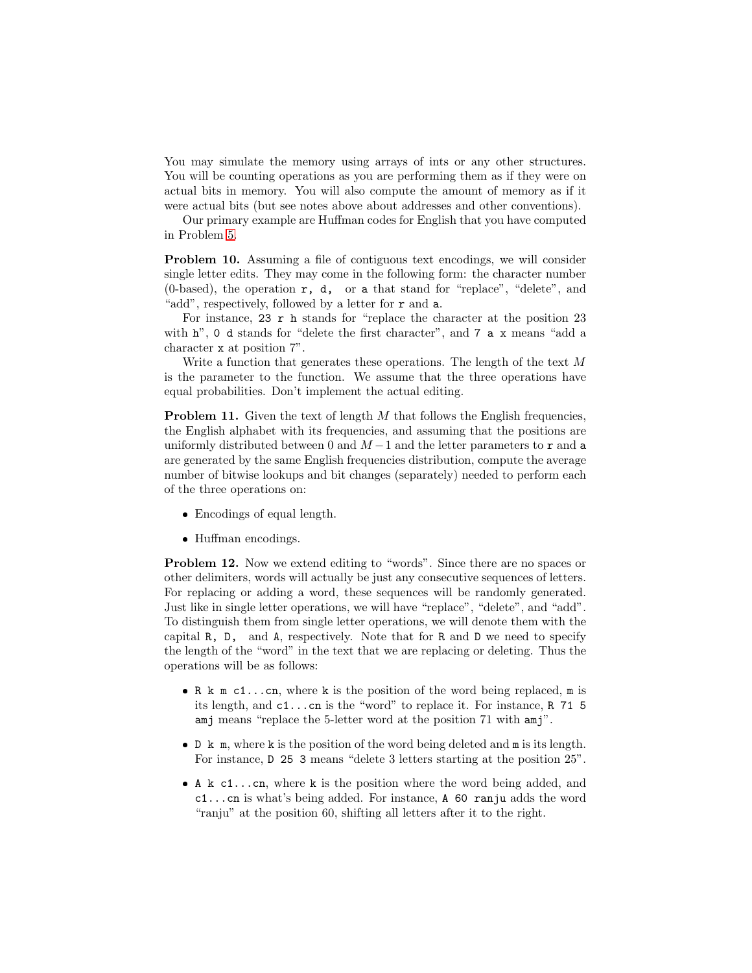You may simulate the memory using arrays of ints or any other structures. You will be counting operations as you are performing them as if they were on actual bits in memory. You will also compute the amount of memory as if it were actual bits (but see notes above about addresses and other conventions).

Our primary example are Huffman codes for English that you have computed in Problem [5.](#page-5-1)

Problem 10. Assuming a file of contiguous text encodings, we will consider single letter edits. They may come in the following form: the character number (0-based), the operation  $r$ ,  $d$ , or a that stand for "replace", "delete", and "add", respectively, followed by a letter for r and a.

For instance,  $23 \,$ r h stands for "replace the character at the position  $23$ with h", 0 d stands for "delete the first character", and 7 a x means "add a character x at position 7".

Write a function that generates these operations. The length of the text M is the parameter to the function. We assume that the three operations have equal probabilities. Don't implement the actual editing.

**Problem 11.** Given the text of length  $M$  that follows the English frequencies, the English alphabet with its frequencies, and assuming that the positions are uniformly distributed between 0 and  $M-1$  and the letter parameters to r and a are generated by the same English frequencies distribution, compute the average number of bitwise lookups and bit changes (separately) needed to perform each of the three operations on:

- Encodings of equal length.
- Huffman encodings.

<span id="page-7-0"></span>Problem 12. Now we extend editing to "words". Since there are no spaces or other delimiters, words will actually be just any consecutive sequences of letters. For replacing or adding a word, these sequences will be randomly generated. Just like in single letter operations, we will have "replace", "delete", and "add". To distinguish them from single letter operations, we will denote them with the capital R, D, and A, respectively. Note that for R and D we need to specify the length of the "word" in the text that we are replacing or deleting. Thus the operations will be as follows:

- R k m c1...cn, where k is the position of the word being replaced, m is its length, and c1...cn is the "word" to replace it. For instance, R 71 5 amj means "replace the 5-letter word at the position 71 with amj".
- D k m, where k is the position of the word being deleted and m is its length. For instance, D 25 3 means "delete 3 letters starting at the position 25".
- A k c1...cn, where k is the position where the word being added, and c1...cn is what's being added. For instance, A 60 ranju adds the word "ranju" at the position 60, shifting all letters after it to the right.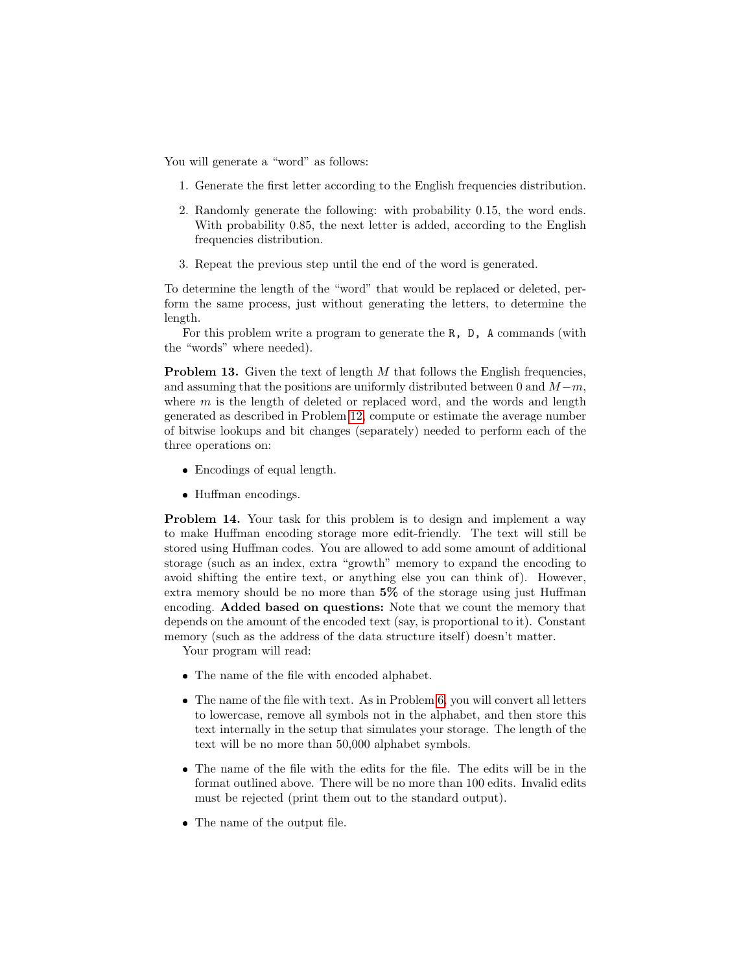You will generate a "word" as follows:

- 1. Generate the first letter according to the English frequencies distribution.
- 2. Randomly generate the following: with probability 0.15, the word ends. With probability 0.85, the next letter is added, according to the English frequencies distribution.
- 3. Repeat the previous step until the end of the word is generated.

To determine the length of the "word" that would be replaced or deleted, perform the same process, just without generating the letters, to determine the length.

For this problem write a program to generate the R, D, A commands (with the "words" where needed).

**Problem 13.** Given the text of length  $M$  that follows the English frequencies, and assuming that the positions are uniformly distributed between 0 and  $M-m$ , where m is the length of deleted or replaced word, and the words and length generated as described in Problem [12,](#page-7-0) compute or estimate the average number of bitwise lookups and bit changes (separately) needed to perform each of the three operations on:

- Encodings of equal length.
- Huffman encodings.

Problem 14. Your task for this problem is to design and implement a way to make Huffman encoding storage more edit-friendly. The text will still be stored using Huffman codes. You are allowed to add some amount of additional storage (such as an index, extra "growth" memory to expand the encoding to avoid shifting the entire text, or anything else you can think of). However, extra memory should be no more than 5% of the storage using just Huffman encoding. Added based on questions: Note that we count the memory that depends on the amount of the encoded text (say, is proportional to it). Constant memory (such as the address of the data structure itself) doesn't matter.

Your program will read:

- The name of the file with encoded alphabet.
- The name of the file with text. As in Problem [6,](#page-5-0) you will convert all letters to lowercase, remove all symbols not in the alphabet, and then store this text internally in the setup that simulates your storage. The length of the text will be no more than 50,000 alphabet symbols.
- The name of the file with the edits for the file. The edits will be in the format outlined above. There will be no more than 100 edits. Invalid edits must be rejected (print them out to the standard output).
- The name of the output file.